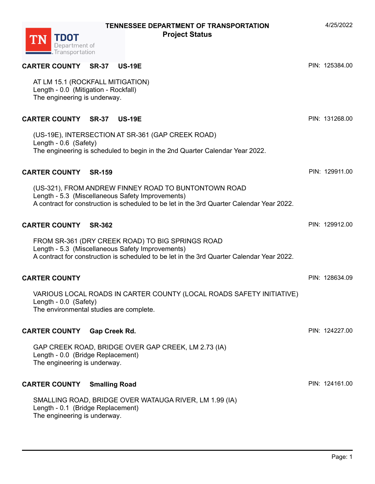**TDOT**<br>Department of<br>Transportation

**TN** 

| <b>CARTER COUNTY SR-37 US-19E</b>                                                                        |                                                                                                                                                   |  | PIN: 125384.00 |
|----------------------------------------------------------------------------------------------------------|---------------------------------------------------------------------------------------------------------------------------------------------------|--|----------------|
| AT LM 15.1 (ROCKFALL MITIGATION)<br>Length - 0.0 (Mitigation - Rockfall)<br>The engineering is underway. |                                                                                                                                                   |  |                |
| <b>CARTER COUNTY SR-37</b>                                                                               | <b>US-19E</b>                                                                                                                                     |  | PIN: 131268.00 |
| (US-19E), INTERSECTION AT SR-361 (GAP CREEK ROAD)<br>Length - 0.6 (Safety)                               | The engineering is scheduled to begin in the 2nd Quarter Calendar Year 2022.                                                                      |  |                |
| <b>CARTER COUNTY</b><br><b>SR-159</b>                                                                    |                                                                                                                                                   |  | PIN: 129911.00 |
| Length - 5.3 (Miscellaneous Safety Improvements)                                                         | (US-321), FROM ANDREW FINNEY ROAD TO BUNTONTOWN ROAD<br>A contract for construction is scheduled to be let in the 3rd Quarter Calendar Year 2022. |  |                |
| <b>CARTER COUNTY SR-362</b>                                                                              |                                                                                                                                                   |  | PIN: 129912.00 |
| Length - 5.3 (Miscellaneous Safety Improvements)                                                         | FROM SR-361 (DRY CREEK ROAD) TO BIG SPRINGS ROAD<br>A contract for construction is scheduled to be let in the 3rd Quarter Calendar Year 2022.     |  |                |
| <b>CARTER COUNTY</b>                                                                                     |                                                                                                                                                   |  | PIN: 128634.09 |
| Length - 0.0 (Safety)<br>The environmental studies are complete.                                         | VARIOUS LOCAL ROADS IN CARTER COUNTY (LOCAL ROADS SAFETY INITIATIVE)                                                                              |  |                |
| <b>CARTER COUNTY</b><br>Gap Creek Rd.                                                                    |                                                                                                                                                   |  | PIN: 124227.00 |
| Length - 0.0 (Bridge Replacement)<br>The engineering is underway.                                        | GAP CREEK ROAD, BRIDGE OVER GAP CREEK, LM 2.73 (IA)                                                                                               |  |                |
| <b>CARTER COUNTY</b><br><b>Smalling Road</b>                                                             |                                                                                                                                                   |  | PIN: 124161.00 |
| Length - 0.1 (Bridge Replacement)<br>The engineering is underway.                                        | SMALLING ROAD, BRIDGE OVER WATAUGA RIVER, LM 1.99 (IA)                                                                                            |  |                |

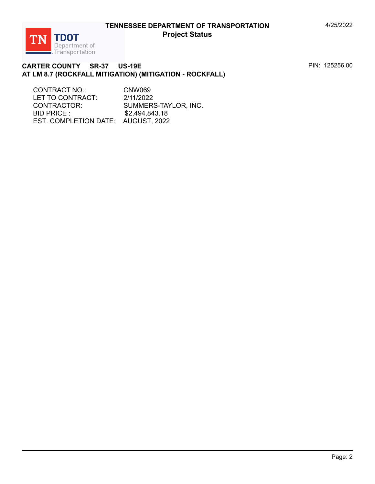

#### **CARTER COUNTY SR-37 US-19E AT LM 8.7 (ROCKFALL MITIGATION) (MITIGATION - ROCKFALL)**

CONTRACT NO.: CNW069 LET TO CONTRACT: 2/11/2022 CONTRACTOR: SUMMERS-TAYLOR, INC. BID PRICE : \$2,494,843.18 EST. COMPLETION DATE: AUGUST, 2022

PIN: 125256.00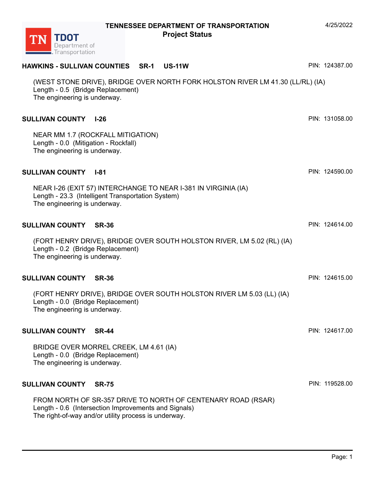| (WEST STONE DRIVE), BRIDGE OVER NORTH FORK HOLSTON RIVER LM 41.30 (LL/RL) (IA)<br>Length - 0.5 (Bridge Replacement)<br>The engineering is underway.                          |                |
|------------------------------------------------------------------------------------------------------------------------------------------------------------------------------|----------------|
| <b>SULLIVAN COUNTY I-26</b>                                                                                                                                                  | PIN: 131058.00 |
| NEAR MM 1.7 (ROCKFALL MITIGATION)<br>Length - 0.0 (Mitigation - Rockfall)<br>The engineering is underway.                                                                    |                |
| <b>SULLIVAN COUNTY I-81</b>                                                                                                                                                  | PIN: 124590.00 |
| NEAR I-26 (EXIT 57) INTERCHANGE TO NEAR I-381 IN VIRGINIA (IA)<br>Length - 23.3 (Intelligent Transportation System)<br>The engineering is underway.                          |                |
| <b>SULLIVAN COUNTY</b><br><b>SR-36</b>                                                                                                                                       | PIN: 124614.00 |
| (FORT HENRY DRIVE), BRIDGE OVER SOUTH HOLSTON RIVER, LM 5.02 (RL) (IA)<br>Length - 0.2 (Bridge Replacement)<br>The engineering is underway.                                  |                |
| <b>SULLIVAN COUNTY</b><br><b>SR-36</b>                                                                                                                                       | PIN: 124615.00 |
| (FORT HENRY DRIVE), BRIDGE OVER SOUTH HOLSTON RIVER LM 5.03 (LL) (IA)<br>Length - 0.0 (Bridge Replacement)<br>The engineering is underway.                                   |                |
| <b>SULLIVAN COUNTY</b><br><b>SR-44</b>                                                                                                                                       | PIN: 124617.00 |
| BRIDGE OVER MORREL CREEK, LM 4.61 (IA)<br>Length - 0.0 (Bridge Replacement)<br>The engineering is underway.                                                                  |                |
| <b>SULLIVAN COUNTY</b><br><b>SR-75</b>                                                                                                                                       | PIN: 119528.00 |
| FROM NORTH OF SR-357 DRIVE TO NORTH OF CENTENARY ROAD (RSAR)<br>Length - 0.6 (Intersection Improvements and Signals)<br>The right-of-way and/or utility process is underway. |                |



**HAWKINS - SULLIVAN COUNTIES SR-1 US-11W** 

PIN: 124387.00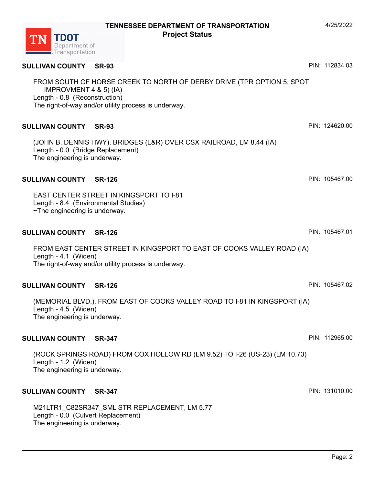# **SULLIVAN COUNTY SR-93**

FROM SOUTH OF HORSE CREEK TO NORTH OF DERBY DRIVE (TPR OPTION 5, SPOT IMPROVMENT 4 & 5) (IA) Length - 0.8 (Reconstruction) The right-of-way and/or utility process is underway.

# **SULLIVAN COUNTY SR-93**

(JOHN B. DENNIS HWY), BRIDGES (L&R) OVER CSX RAILROAD, LM 8.44 (IA) Length - 0.0 (Bridge Replacement) The engineering is underway.

#### **SULLIVAN COUNTY SR-126**

EAST CENTER STREET IN KINGSPORT TO I-81 Length - 8.4 (Environmental Studies) ~The engineering is underway.

#### **SULLIVAN COUNTY SR-126**

FROM EAST CENTER STREET IN KINGSPORT TO EAST OF COOKS VALLEY ROAD (IA) Length - 4.1 (Widen) The right-of-way and/or utility process is underway.

# **SULLIVAN COUNTY SR-126**

(MEMORIAL BLVD.), FROM EAST OF COOKS VALLEY ROAD TO I-81 IN KINGSPORT (IA) Length - 4.5 (Widen) The engineering is underway.

#### **SULLIVAN COUNTY SR-347**

(ROCK SPRINGS ROAD) FROM COX HOLLOW RD (LM 9.52) TO I-26 (US-23) (LM 10.73) Length - 1.2 (Widen) The engineering is underway.

# **SULLIVAN COUNTY SR-347**

M21LTR1\_C82SR347\_SML STR REPLACEMENT, LM 5.77 Length - 0.0 (Culvert Replacement) The engineering is underway.

PIN: 112965.00

PIN: 124620.00

PIN: 112834.03

PIN: 105467.00

PIN: 105467.01

PIN: 105467.02

PIN: 131010.00

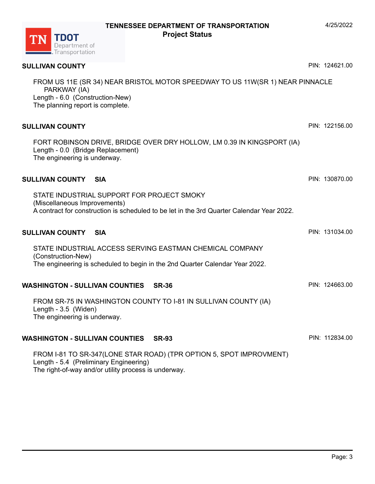# **SULLIVAN COUNTY**

FROM US 11E (SR 34) NEAR BRISTOL MOTOR SPEEDWAY TO US 11W(SR 1) NEAR PINNACLE PARKWAY (IA) Length - 6.0 (Construction-New) The planning report is complete.

# **SULLIVAN COUNTY**

FORT ROBINSON DRIVE, BRIDGE OVER DRY HOLLOW, LM 0.39 IN KINGSPORT (IA) Length - 0.0 (Bridge Replacement) The engineering is underway.

#### **SULLIVAN COUNTY SIA**

STATE INDUSTRIAL SUPPORT FOR PROJECT SMOKY (Miscellaneous Improvements) A contract for construction is scheduled to be let in the 3rd Quarter Calendar Year 2022.

#### **SULLIVAN COUNTY SIA**  STATE INDUSTRIAL ACCESS SERVING EASTMAN CHEMICAL COMPANY (Construction-New) The engineering is scheduled to begin in the 2nd Quarter Calendar Year 2022. PIN: 131034.00

### **WASHINGTON - SULLIVAN COUNTIES SR-36**

FROM SR-75 IN WASHINGTON COUNTY TO I-81 IN SULLIVAN COUNTY (IA) Length - 3.5 (Widen) The engineering is underway.

# **WASHINGTON - SULLIVAN COUNTIES SR-93**

FROM I-81 TO SR-347(LONE STAR ROAD) (TPR OPTION 5, SPOT IMPROVMENT) Length - 5.4 (Preliminary Engineering) The right-of-way and/or utility process is underway.



4/25/2022

PIN: 124621.00

PIN: 130870.00

PIN: 122156.00

PIN: 124663.00

PIN: 112834.00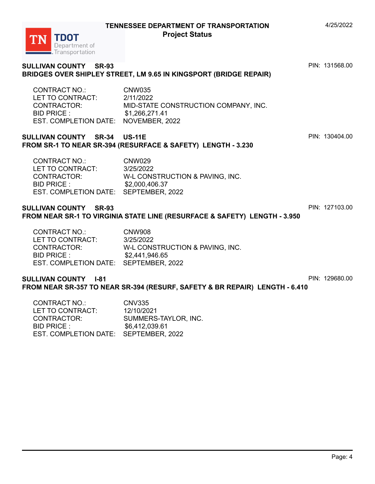# **SULLIVAN COUNTY SR-93 BRIDGES OVER SHIPLEY STREET, LM 9.65 IN KINGSPORT (BRIDGE REPAIR)**

CONTRACT NO.: CNW035 LET TO CONTRACT: 2/11/2022 CONTRACTOR: MID-STATE CONSTRUCTION COMPANY, INC. BID PRICE : \$1,266,271.41 EST. COMPLETION DATE: NOVEMBER, 2022

### **SULLIVAN COUNTY SR-34 US-11E FROM SR-1 TO NEAR SR-394 (RESURFACE & SAFETY) LENGTH - 3.230**

CONTRACT NO.: CNW029 LET TO CONTRACT: 3/25/2022 CONTRACTOR: W-L CONSTRUCTION & PAVING, INC. BID PRICE : \$2,000,406.37 EST. COMPLETION DATE: SEPTEMBER, 2022

### **SULLIVAN COUNTY SR-93 FROM NEAR SR-1 TO VIRGINIA STATE LINE (RESURFACE & SAFETY) LENGTH - 3.950**

| CONTRACT NO.:                         | <b>CNW908</b>                   |
|---------------------------------------|---------------------------------|
| LET TO CONTRACT:                      | 3/25/2022                       |
| CONTRACTOR:                           | W-L CONSTRUCTION & PAVING, INC. |
| BID PRICE :                           | \$2,441,946.65                  |
| EST. COMPLETION DATE: SEPTEMBER, 2022 |                                 |

#### **SULLIVAN COUNTY I-81 FROM NEAR SR-357 TO NEAR SR-394 (RESURF, SAFETY & BR REPAIR) LENGTH - 6.410** PIN: 129680.00

| CONTRACT NO.:                         | CNV335               |
|---------------------------------------|----------------------|
| LET TO CONTRACT:                      | 12/10/2021           |
| CONTRACTOR:                           | SUMMERS-TAYLOR, INC. |
| BID PRICE :                           | \$6,412,039.61       |
| EST. COMPLETION DATE: SEPTEMBER, 2022 |                      |

TDOT Department of Fransportation

#### 4/25/2022

PIN: 131568.00

PIN: 130404.00

PIN: 127103.00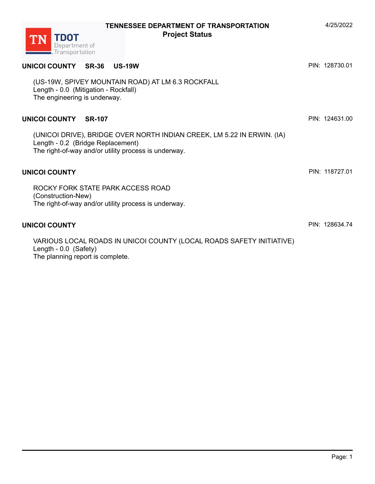

VARIOUS LOCAL ROADS IN UNICOI COUNTY (LOCAL ROADS SAFETY INITIATIVE) Length - 0.0 (Safety) The planning report is complete.

**TENNESSEE DEPARTMENT OF TRANSPORTATION** 4/25/2022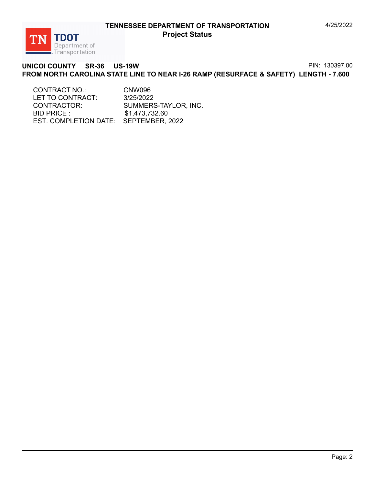

#### **UNICOI COUNTY SR-36 US-19W FROM NORTH CAROLINA STATE LINE TO NEAR I-26 RAMP (RESURFACE & SAFETY) LENGTH - 7.600** PIN: 130397.00

CONTRACT NO.: CNW096 LET TO CONTRACT: 3/25/2022 CONTRACTOR: SUMMERS-TAYLOR, INC. BID PRICE : \$1,473,732.60 EST. COMPLETION DATE: SEPTEMBER, 2022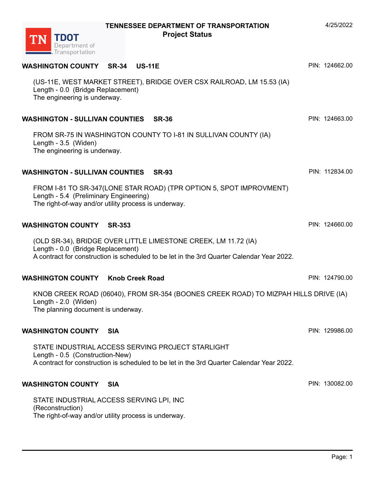| <b>WASHINGTON COUNTY SR-34</b><br><b>US-11E</b>                                                                                                                                                  | PIN: 124662.00 |
|--------------------------------------------------------------------------------------------------------------------------------------------------------------------------------------------------|----------------|
| (US-11E, WEST MARKET STREET), BRIDGE OVER CSX RAILROAD, LM 15.53 (IA)<br>Length - 0.0 (Bridge Replacement)<br>The engineering is underway.                                                       |                |
| WASHINGTON - SULLIVAN COUNTIES SR-36                                                                                                                                                             | PIN: 124663.00 |
| FROM SR-75 IN WASHINGTON COUNTY TO I-81 IN SULLIVAN COUNTY (IA)<br>Length - 3.5 (Widen)<br>The engineering is underway.                                                                          |                |
| WASHINGTON - SULLIVAN COUNTIES SR-93                                                                                                                                                             | PIN: 112834.00 |
| FROM I-81 TO SR-347(LONE STAR ROAD) (TPR OPTION 5, SPOT IMPROVMENT)<br>Length - 5.4 (Preliminary Engineering)<br>The right-of-way and/or utility process is underway.                            |                |
| <b>WASHINGTON COUNTY SR-353</b>                                                                                                                                                                  | PIN: 124660.00 |
| (OLD SR-34), BRIDGE OVER LITTLE LIMESTONE CREEK, LM 11.72 (IA)<br>Length - 0.0 (Bridge Replacement)<br>A contract for construction is scheduled to be let in the 3rd Quarter Calendar Year 2022. |                |
| <b>WASHINGTON COUNTY Knob Creek Road</b>                                                                                                                                                         | PIN: 124790.00 |
| KNOB CREEK ROAD (06040), FROM SR-354 (BOONES CREEK ROAD) TO MIZPAH HILLS DRIVE (IA)<br>Length - 2.0 (Widen)<br>The planning document is underway.                                                |                |
| <b>WASHINGTON COUNTY</b><br><b>SIA</b>                                                                                                                                                           | PIN: 129986.00 |
| STATE INDUSTRIAL ACCESS SERVING PROJECT STARLIGHT<br>Length - 0.5 (Construction-New)<br>A contract for construction is scheduled to be let in the 3rd Quarter Calendar Year 2022.                |                |
| WASHINGTON COUNTY SIA                                                                                                                                                                            | PIN: 130082.00 |
| STATE INDUSTRIAL ACCESS SERVING LPI, INC                                                                                                                                                         |                |

(Reconstruction)

TDOT<br>Department of<br>Transportation

**TN** 

The right-of-way and/or utility process is underway.

4/25/2022